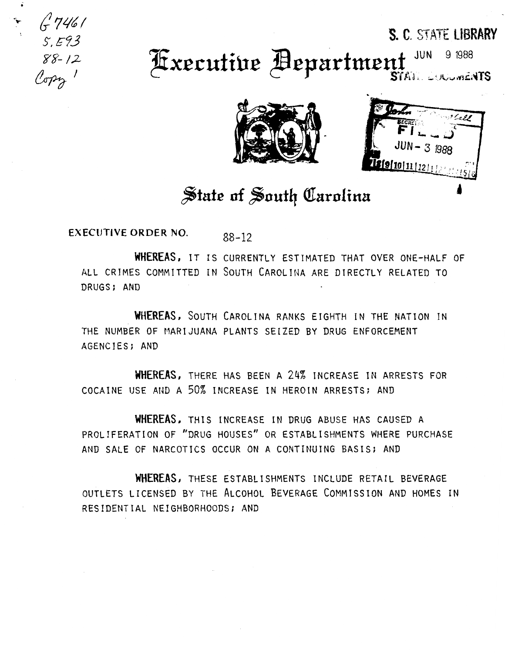S. C. STATE LIBRARY

JUN 9 1988 **Executive Bepartment** STATE LUNCLINENTS



## State of South Carolina

**EXECUTIVE ORDER NO.**  $88 - 12$ 

 $5.57461$ <br> $5.593$ <br> $88-12$ 

Copy 1

WHEREAS, IT IS CURRENTLY ESTIMATED THAT OVER ONE-HALF OF ALL CRIMES COMMITTED IN SOUTH CAROLINA ARE DIRECTLY RELATED TO DRUGS; AND

WHEREAS, SOUTH CAROLINA RANKS EIGHTH IN THE NATION IN THE NUMBER OF MARIJUANA PLANTS SEIZED BY DRUG ENFORCEMENT AGENCIES; AND

WHEREAS, THERE HAS BEEN A 24% INCREASE IN ARRESTS FOR COCAINE USE AND A 50% INCREASE IN HEROIN ARRESTS; AND

WHEREAS, THIS INCREASE IN DRUG ABUSE HAS CAUSED A PROLIFERATION OF "DRUG HOUSES" OR ESTABLISHMENTS WHERE PURCHASE AND SALE OF NARCOTICS OCCUR ON A CONTINUING BASIS; AND

WHEREAS, THESE ESTABLISHMENTS INCLUDE RETAIL BEVERAGE OUTLETS LICENSED BY THE ALCOHOL BEVERAGE COMMISSION AND HOMES IN RESIDENTIAL NEIGHBORHOODS; AND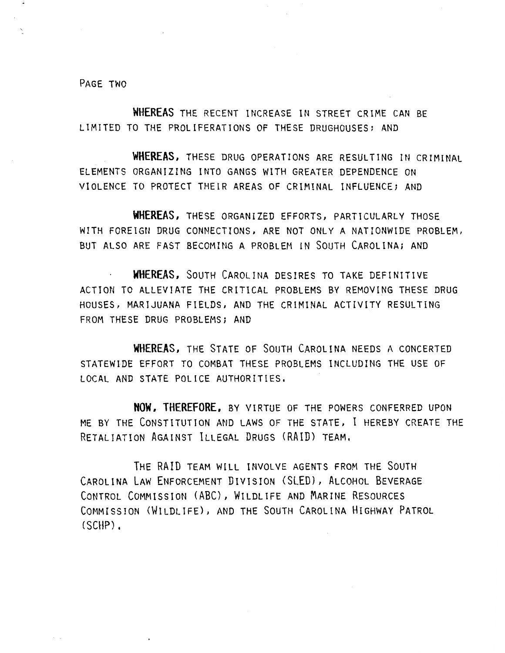PAGE TWO

**WHEREAS** THE RECENT INCREASE IN STREET CRIME CAN BE LIMITED TO THE PROLIFERATIONS OF THESE DRUGHOUSES; AND

WHEREAS, THESE DRUG OPERATIONS ARE RESULTING IN CRIMINAL ELEMENTS ORGANIZING INTO GANGS WITH GREATER DEPENDENCE ON VIOLENCE TO PROTECT THEIR AREAS OF CRIMINAL INFLUENCE; AND

**WHEREAS,** THESE ORGANIZED EFFORTS, PARTICULARLY THOSE WITH FOREIGN DRUG CONNECTIONS, ARE NOT ONLY A NATIONWIDE PROBLEM, BUT ALSO ARE FAST BECOMING A PROBLEM IN SOUTH CAROLINA; AND

**WHEREAS,** SOUTH CAROLINA DESIRES TO TAKE DEFINITIVE ACTION TO ALLEVIATE THE CRITICAL PROBLEMS BY REMOVING THESE DRUG HOUSES, MARIJUANA FIELDS, AND THE CRIMINAL ACTIVITY RESULTING FROM THESE DRUG PROBLEMS; AND

**WHEREAS,** THE STATE OF SOUTH CAROLINA NEEDS A CONCERTED STATEWIDE EFFORT TO COMBAT THESE PROBLEMS INCLUDING THE USE OF LOCAL AND STATE POLICE AUTHORITIES,

**NOW, THEREFORE,** BY VIRTUE OF THE POWERS CONFERRED UPON ME BY THE CONSTITUTION AND LAWS OF THE STATE, I HEREBY CREATE THE RETALIATION AGAINST ILLEGAL DRUGS (RAID) TEAM.

THE RAID TEAM WILL INVOLVE AGENTS FROM THE SOUTH CAROLINA LAW ENFORCEMENT DIVISION (SLED), ALCOHOL BEVERAGE CONTROL COMMISSION (ABC), WILDLIFE AND MARINE RESOURCES COMMISSION (WILDLIFE), AND THE SOUTH CAROLINA HIGHWAY PATROL (SCHP).